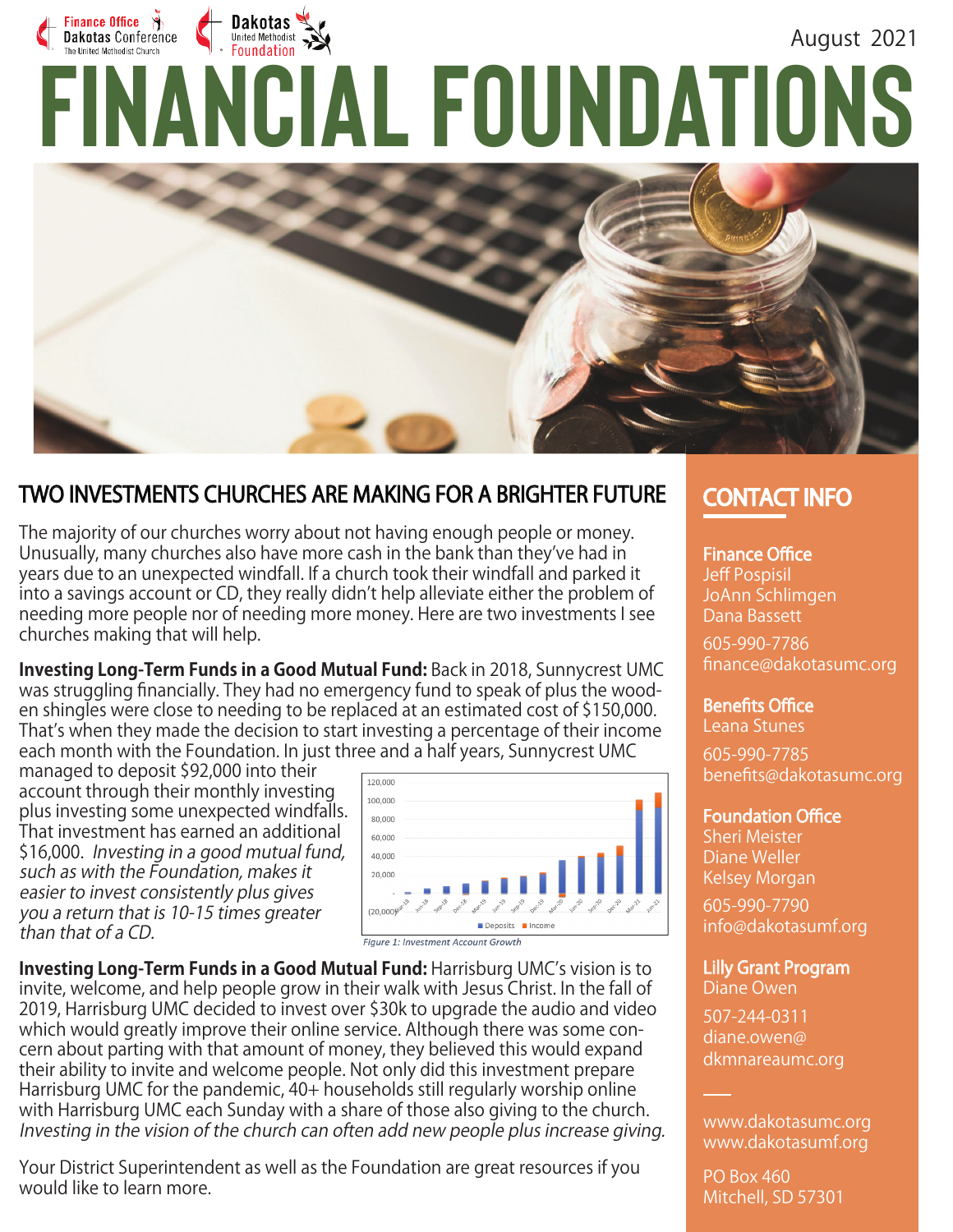# Finance Office  $\ddot{\theta}$ Dakotas August 2021 **FINANCIAL FOUNDATIONS** Dakotas Conference



## TWO INVESTMENTS CHURCHES ARE MAKING FOR A BRIGHTER FUTURE

The majority of our churches worry about not having enough people or money. Unusually, many churches also have more cash in the bank than they've had in years due to an unexpected windfall. If a church took their windfall and parked it into a savings account or CD, they really didn't help alleviate either the problem of needing more people nor of needing more money. Here are two investments I see churches making that will help.

**Investing Long-Term Funds in a Good Mutual Fund:** Back in 2018, Sunnycrest UMC was struggling financially. They had no emergency fund to speak of plus the wooden shingles were close to needing to be replaced at an estimated cost of \$150,000. That's when they made the decision to start investing a percentage of their income each month with the Foundation. In just three and a half years, Sunnycrest UMC

managed to deposit \$92,000 into their account through their monthly investing plus investing some unexpected windfalls. That investment has earned an additional \$16,000. Investing in a good mutual fund, such as with the Foundation, makes it easier to invest consistently plus gives you a return that is 10-15 times greater than that of a CD.



**Investing Long-Term Funds in a Good Mutual Fund:** Harrisburg UMC's vision is to invite, welcome, and help people grow in their walk with Jesus Christ. In the fall of 2019, Harrisburg UMC decided to invest over \$30k to upgrade the audio and video which would greatly improve their online service. Although there was some concern about parting with that amount of money, they believed this would expand their ability to invite and welcome people. Not only did this investment prepare Harrisburg UMC for the pandemic, 40+ households still regularly worship online with Harrisburg UMC each Sunday with a share of those also giving to the church. Investing in the vision of the church can often add new people plus increase giving.

Your District Superintendent as well as the Foundation are great resources if you would like to learn more.

## **CONTACT INFO**

**Finance Office** Jeff Pospisil JoAnn Schlimgen

Dana Bassett 605-990-7786

finance@dakotasumc.org

**Benefits Office** 

Leana Stunes 605-990-7785 benefits@dakotasumc.org

#### **Foundation Office**

Sheri Meister Diane Weller Kelsey Morgan

605-990-7790 info@dakotasumf.org

Lilly Grant Program Diane Owen

507-244-0311 diane.owen@ dkmnareaumc.org

www.dakotasumc.org www.dakotasumf.org

PO Box 460 Mitchell, SD 57301